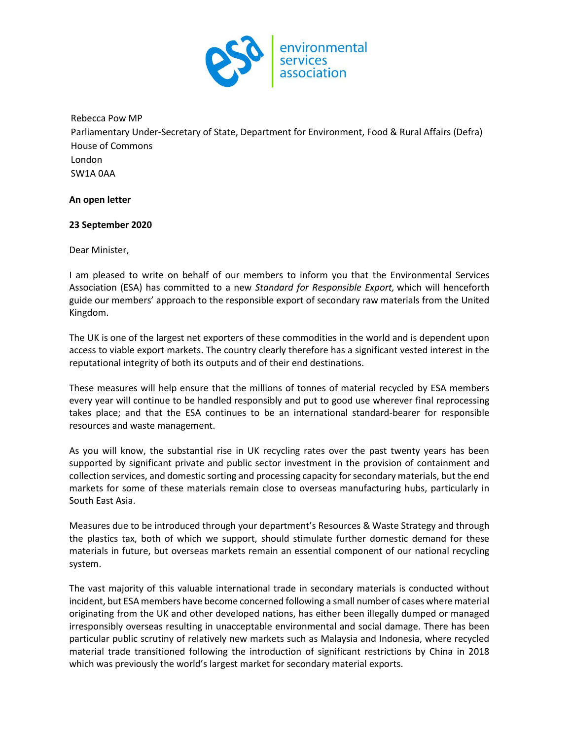

### Rebecca Pow MP

Parliamentary Under-Secretary of State, Department for Environment, Food & Rural Affairs (Defra) House of Commons London SW1A 0AA

### **An open letter**

## **23 September 2020**

Dear Minister,

I am pleased to write on behalf of our members to inform you that the Environmental Services Association (ESA) has committed to a new *Standard for Responsible Export,* which will henceforth guide our members' approach to the responsible export of secondary raw materials from the United Kingdom.

The UK is one of the largest net exporters of these commodities in the world and is dependent upon access to viable export markets. The country clearly therefore has a significant vested interest in the reputational integrity of both its outputs and of their end destinations.

These measures will help ensure that the millions of tonnes of material recycled by ESA members every year will continue to be handled responsibly and put to good use wherever final reprocessing takes place; and that the ESA continues to be an international standard-bearer for responsible resources and waste management.

As you will know, the substantial rise in UK recycling rates over the past twenty years has been supported by significant private and public sector investment in the provision of containment and collection services, and domestic sorting and processing capacity for secondary materials, but the end markets for some of these materials remain close to overseas manufacturing hubs, particularly in South East Asia.

Measures due to be introduced through your department's Resources & Waste Strategy and through the plastics tax, both of which we support, should stimulate further domestic demand for these materials in future, but overseas markets remain an essential component of our national recycling system.

The vast majority of this valuable international trade in secondary materials is conducted without incident, but ESA members have become concerned following a small number of cases where material originating from the UK and other developed nations, has either been illegally dumped or managed irresponsibly overseas resulting in unacceptable environmental and social damage. There has been particular public scrutiny of relatively new markets such as Malaysia and Indonesia, where recycled material trade transitioned following the introduction of significant restrictions by China in 2018 which was previously the world's largest market for secondary material exports.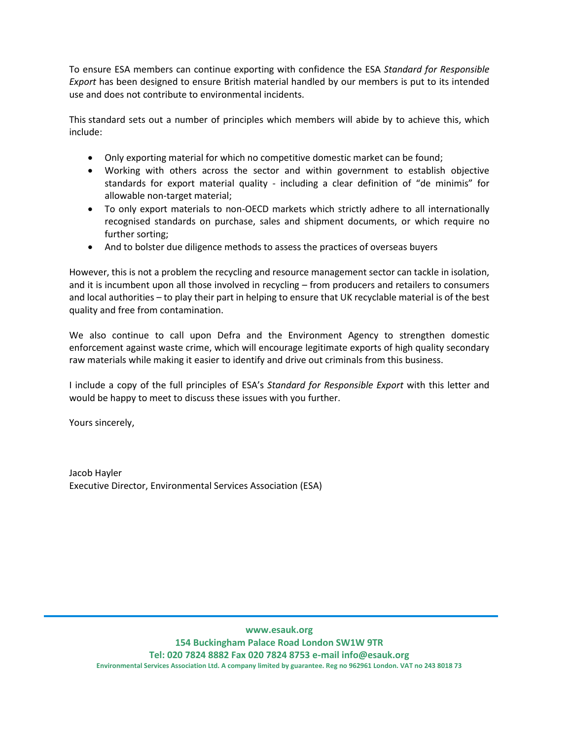To ensure ESA members can continue exporting with confidence the ESA *Standard for Responsible Export* has been designed to ensure British material handled by our members is put to its intended use and does not contribute to environmental incidents.

This standard sets out a number of principles which members will abide by to achieve this, which include:

- Only exporting material for which no competitive domestic market can be found;
- Working with others across the sector and within government to establish objective standards for export material quality - including a clear definition of "de minimis" for allowable non-target material;
- To only export materials to non-OECD markets which strictly adhere to all internationally recognised standards on purchase, sales and shipment documents, or which require no further sorting;
- And to bolster due diligence methods to assess the practices of overseas buyers

However, this is not a problem the recycling and resource management sector can tackle in isolation, and it is incumbent upon all those involved in recycling – from producers and retailers to consumers and local authorities – to play their part in helping to ensure that UK recyclable material is of the best quality and free from contamination.

We also continue to call upon Defra and the Environment Agency to strengthen domestic enforcement against waste crime, which will encourage legitimate exports of high quality secondary raw materials while making it easier to identify and drive out criminals from this business.

I include a copy of the full principles of ESA's *Standard for Responsible Export* with this letter and would be happy to meet to discuss these issues with you further.

Yours sincerely,

Jacob Hayler Executive Director, Environmental Services Association (ESA)